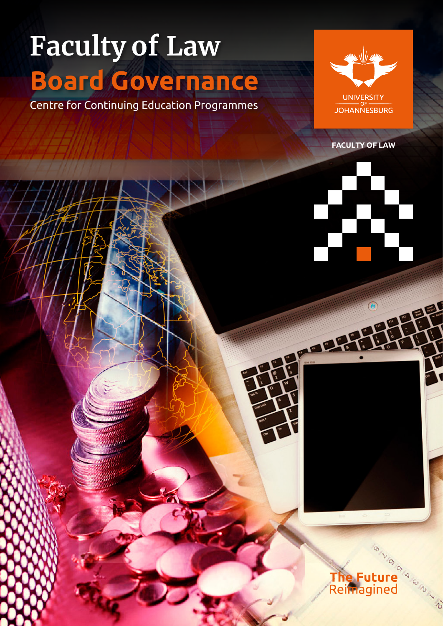# **Faculty of Law Board Governance**

Centre for Continuing Education Programmes



**FACULTY OF LAW**

# œ

<u>aar</u>



 $\hat{a}$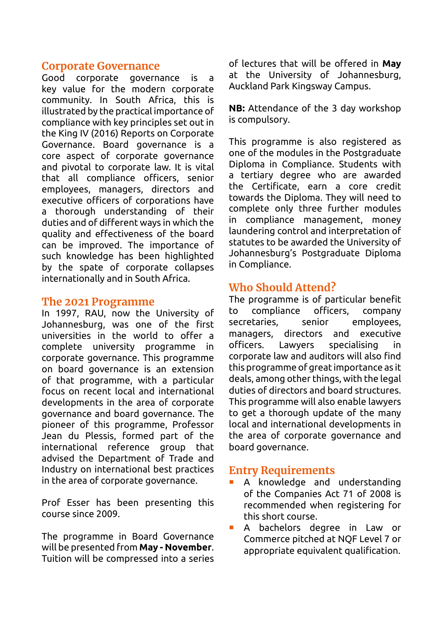#### **Corporate Governance**

Good corporate governance is a key value for the modern corporate community. In South Africa, this is illustrated by the practical importance of compliance with key principles set out in the King IV (2016) Reports on Corporate Governance. Board governance is a core aspect of corporate governance and pivotal to corporate law. It is vital that all compliance officers, senior employees, managers, directors and executive officers of corporations have a thorough understanding of their duties and of different ways in which the quality and effectiveness of the board can be improved. The importance of such knowledge has been highlighted by the spate of corporate collapses internationally and in South Africa.

#### **The 2021 Programme**

In 1997, RAU, now the University of Johannesburg, was one of the first universities in the world to offer a complete university programme in corporate governance. This programme on board governance is an extension of that programme, with a particular focus on recent local and international developments in the area of corporate governance and board governance. The pioneer of this programme, Professor Jean du Plessis, formed part of the international reference group that advised the Department of Trade and Industry on international best practices in the area of corporate governance.

Prof Esser has been presenting this course since 2009.

The programme in Board Governance will be presented from **May - November**. Tuition will be compressed into a series of lectures that will be offered in **May**  at the University of Johannesburg, Auckland Park Kingsway Campus.

**NB:** Attendance of the 3 day workshop is compulsory.

This programme is also registered as one of the modules in the Postgraduate Diploma in Compliance. Students with a tertiary degree who are awarded the Certificate, earn a core credit towards the Diploma. They will need to complete only three further modules in compliance management, money laundering control and interpretation of statutes to be awarded the University of Johannesburg's Postgraduate Diploma in Compliance.

# **Who Should Attend?**

The programme is of particular benefit to compliance officers, company secretaries, senior employees, managers, directors and executive officers. Lawyers specialising in corporate law and auditors will also find this programme of great importance as it deals, among other things, with the legal duties of directors and board structures. This programme will also enable lawyers to get a thorough update of the many local and international developments in the area of corporate governance and board governance.

### **Entry Requirements**

- A knowledge and understanding of the Companies Act 71 of 2008 is recommended when registering for this short course.
- A bachelors degree in Law or Commerce pitched at NQF Level 7 or appropriate equivalent qualification.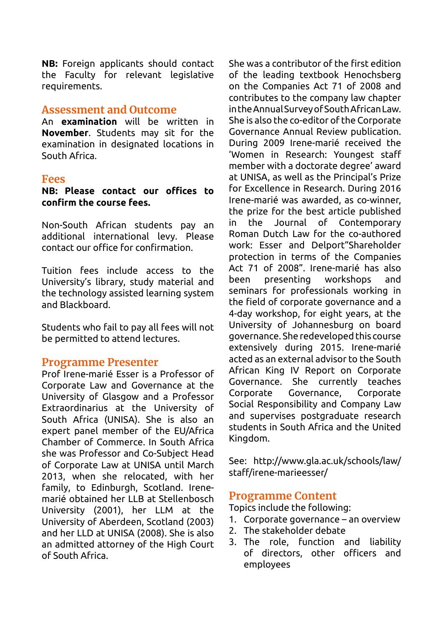**NB:** Foreign applicants should contact the Faculty for relevant legislative requirements.

#### **Assessment and Outcome**

An **examination** will be written in **November**. Students may sit for the examination in designated locations in South Africa.

#### **Fees**

**NB: Please contact our offices to confirm the course fees.**

Non-South African students pay an additional international levy. Please contact our office for confirmation.

Tuition fees include access to the University's library, study material and the technology assisted learning system and Blackboard.

Students who fail to pay all fees will not be permitted to attend lectures.

#### **Programme Presenter**

Prof Irene-marié Esser is a Professor of Corporate Law and Governance at the University of Glasgow and a Professor Extraordinarius at the University of South Africa (UNISA). She is also an expert panel member of the EU/Africa Chamber of Commerce. In South Africa she was Professor and Co-Subject Head of Corporate Law at UNISA until March 2013, when she relocated, with her family, to Edinburgh, Scotland. Irenemarié obtained her LLB at Stellenbosch University (2001), her LLM at the University of Aberdeen, Scotland (2003) and her LLD at UNISA (2008). She is also an admitted attorney of the High Court of South Africa.

She was a contributor of the first edition of the leading textbook Henochsberg on the Companies Act 71 of 2008 and contributes to the company law chapter in the Annual Survey of South African Law. She is also the co-editor of the Corporate Governance Annual Review publication. During 2009 Irene-marié received the 'Women in Research: Youngest staff member with a doctorate degree' award at UNISA, as well as the Principal's Prize for Excellence in Research. During 2016 Irene-marié was awarded, as co-winner, the prize for the best article published in the Journal of Contemporary Roman Dutch Law for the co-authored work: Esser and Delport"Shareholder protection in terms of the Companies Act 71 of 2008". Irene-marié has also been presenting workshops and seminars for professionals working in the field of corporate governance and a 4-day workshop, for eight years, at the University of Johannesburg on board governance. She redeveloped this course extensively during 2015. Irene-marié acted as an external advisor to the South African King IV Report on Corporate Governance. She currently teaches Corporate Governance, Corporate Social Responsibility and Company Law and supervises postgraduate research students in South Africa and the United Kingdom.

See: [http://www.gla.ac.uk/schools/law/](http://www.gla.ac.uk/schools/law/staff/irene-marieesser/) [staff/irene-marieesser/](http://www.gla.ac.uk/schools/law/staff/irene-marieesser/)

#### **Programme Content**

Topics include the following:

- 1. Corporate governance an overview
- 2. The stakeholder debate
- 3. The role, function and liability of directors, other officers and employees